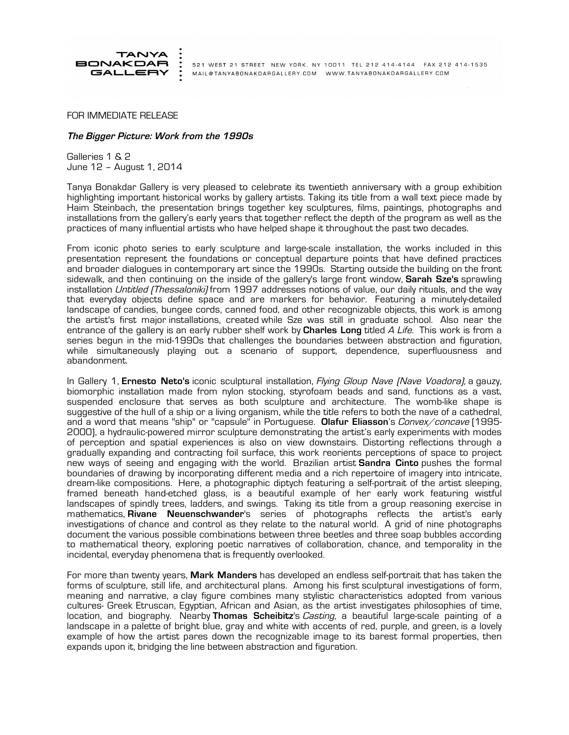

521 WEST 21 STREET NEW YORK, NY 10011 TEL 212 414-4144 FAX 212 414-1535 MAIL@TANYABONAKDARGALLERY.COM WWW.TANYABONAKDARGALLERY.COM

FOR IMMEDIATE RELEASE

## **The Bigger Picture: Work from the 1990s**

Galleries 1 & 2 June 12 – August 1, 2014

Tanya Bonakdar Gallery is very pleased to celebrate its twentieth anniversary with a group exhibition highlighting important historical works by gallery artists. Taking its title from a wall text piece made by Haim Steinbach, the presentation brings together key sculptures, films, paintings, photographs and installations from the gallery's early years that together reflect the depth of the program as well as the practices of many influential artists who have helped shape it throughout the past two decades.

From iconic photo series to early sculpture and large-scale installation, the works included in this presentation represent the foundations or conceptual departure points that have defined practices and broader dialogues in contemporary art since the 1990s. Starting outside the building on the front sidewalk, and then continuing on the inside of the gallery's large front window, **Sarah Sze's** sprawling installation *Untitled (Thessaloniki)* from 1997 addresses notions of value, our daily rituals, and the way that everyday objects define space and are markers for behavior. Featuring a minutely-detailed landscape of candies, bungee cords, canned food, and other recognizable objects, this work is among the artist's first major installations, created while Sze was still in graduate school. Also near the entrance of the gallery is an early rubber shelf work by **Charles Long** titled A Life. This work is from a series begun in the mid-1990s that challenges the boundaries between abstraction and figuration, while simultaneously playing out a scenario of support, dependence, superfluousness and abandonment.

In Gallery 1, **Ernesto Neto's** iconic sculptural installation, Flying Gloup Nave (Nave Voadora), a gauzy, biomorphic installation made from nylon stocking, styrofoam beads and sand, functions as a vast, suspended enclosure that serves as both sculpture and architecture. The womb-like shape is suggestive of the hull of a ship or a living organism, while the title refers to both the nave of a cathedral, and a word that means "ship" or "capsule" in Portuguese. **Olafur Eliasson**'s Convex/concave (1995- 2000), a hydraulic-powered mirror sculpture demonstrating the artist's early experiments with modes of perception and spatial experiences is also on view downstairs. Distorting reflections through a gradually expanding and contracting foil surface, this work reorients perceptions of space to project new ways of seeing and engaging with the world. Brazilian artist **Sandra Cinto** pushes the formal boundaries of drawing by incorporating different media and a rich repertoire of imagery into intricate, dream-like compositions. Here, a photographic diptych featuring a self-portrait of the artist sleeping, framed beneath hand-etched glass, is a beautiful example of her early work featuring wistful landscapes of spindly trees, ladders, and swings. Taking its title from a group reasoning exercise in mathematics, **Rivane Neuenschwander**'s series of photographs reflects the artist's early investigations of chance and control as they relate to the natural world. A grid of nine photographs document the various possible combinations between three beetles and three soap bubbles according to mathematical theory, exploring poetic narratives of collaboration, chance, and temporality in the incidental, everyday phenomena that is frequently overlooked.

For more than twenty years, **Mark Manders** has developed an endless self-portrait that has taken the forms of sculpture, still life, and architectural plans. Among his first sculptural investigations of form, meaning and narrative, a clay figure combines many stylistic characteristics adopted from various cultures- Greek Etruscan, Egyptian, African and Asian, as the artist investigates philosophies of time, location, and biography. Nearby **Thomas Scheibitz**'s Casting, a beautiful large-scale painting of a landscape in a palette of bright blue, gray and white with accents of red, purple, and green, is a lovely example of how the artist pares down the recognizable image to its barest formal properties, then expands upon it, bridging the line between abstraction and figuration.